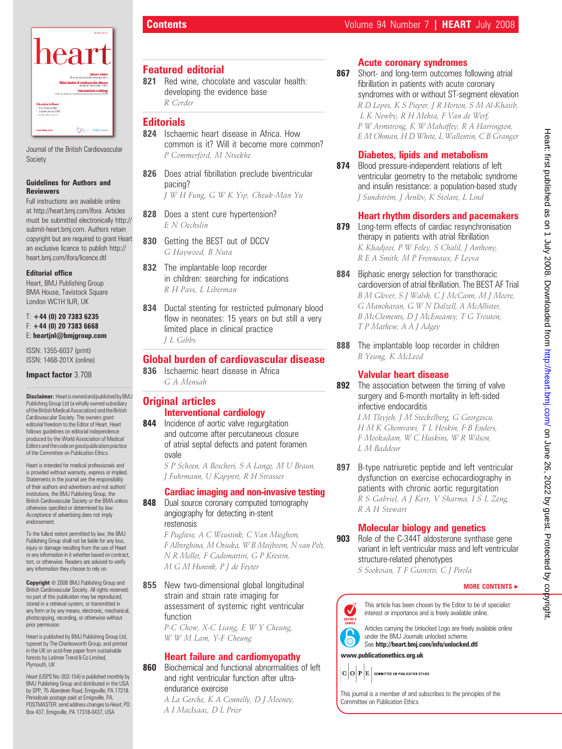

Journal of the British Cardiovascular Society

### Guidelines for Authors and **Reviewers**

Full instructions are available online at http://heart.bmj.com/ifora. Articles must be submitted electronically http:// submit-heart.bmj.com. Authors retain copyright but are required to grant Heart an exclusive licence to publish http:// heart.bmj.com/ifora/licence.dtl

## Editorial office

Heart, BMJ Publishing Group BMA House, Tavistock Square London WC1H 9JR, UK

### $T: +44$  (0) 20 7383 6235  $F: +44$  (0) 20 7383 6668 E: heartjnl@bmjgroup.com

ISSN: 1355-6037 (print) ISSN: 1468-201X (online)

## Impact factor 3.708

**Disclaimer:** Heartis owned and published by BMJ Publishing Group Ltd (a wholly owned subsidiary of the British Medical Association) and the British Cardiovascular Society. The owners grant editorial freedom to the Editor of Heart. Heart follows guidelines on editorial independence produced by the World Association of Medical Editors and the code on good publication practice of the Committee on Publication Ethics.

Heart is intended for medical professionals and is provided without warranty, express or implied. Statements in the journal are the responsibility of their authors and advertisers and not authors' institutions, the BMJ Publishing Group, the British Cardiovascular Society or the BMA unless otherwise specified or determined by law. Acceptance of advertising does not imply endorsement.

To the fullest extent permitted by law, the BMJ Publishing Group shall not be liable for any loss, injury or damage resulting from the use of Heart or any information in it whether based on contract, tort, or otherwise. Readers are advised to verify any information they choose to rely on.

Copyright © 2008 BMJ Publishing Group and British Cardiovascular Society. All rights reserved; no part of this publication may be reproduced, stored in a retrieval system, or transmitted in any form or by any means, electronic, mechanical, photocopying, recording, or otherwise without prior permission

Heart is published by BMJ Publishing Group Ltd, typeset by The Charlesworth Group, and printed in the UK on acid-free paper from sustainable forests by Latimer Trend & Co Limited. Plymouth, UK

Heart (USPS No: 002-154) is published monthly by BMJ Publishing Group and distributed in the USA by SPP, 75 Aberdeen Road, Emigsville, PA 17318. Periodicals postage paid at Emigsville, PA. POSTMASTER: send address changes to Heart, PO Box 437, Emigsville, PA 17318-0437, USA

# Featured editorial

821 Red wine, chocolate and vascular health: developing the evidence base R Corder

## **Editorials**

- 824 Ischaemic heart disease in Africa. How common is it? Will it become more common? P Commerford, M Ntsekhe
- 826 Does atrial fibrillation preclude biventricular pacing?
	- J W H Fung, G W K Yip, Cheuk-Man Yu
- 828 Does a stent cure hypertension? E N Oechslin
- 830 Getting the BEST out of DCCV G Haywood, B Nuta
- 832 The implantable loop recorder in children: searching for indications R H Pass, L Liberman
- 834 Ductal stenting for restricted pulmonary blood flow in neonates: 15 years on but still a very limited place in clinical practice J L Gibbs

# Global burden of cardiovascular disease

836 Ischaemic heart disease in Africa G A Mensah

# **Original articles** Interventional cardiology

- 844 Incidence of aortic valve regurgitation and outcome after percutaneous closure of atrial septal defects and patent foramen ovale
	- S P Schoen, A Boscheri, S A Lange, M U Braun, J Fuhrmann, U Kappert, R H Strasser

# Cardiac imaging and non-invasive testing

848 Dual source coronary computed tomography angiography for detecting in-stent restenosis

> F Pugliese, A C Weustink, C Van Mieghem, F Alberghina, M Otsuka, W B Meijboom, N van Pelt, N R Mollet, F Cademartiri, G P Krestin, M G M Hunink, P J de Feyter

855 New two-dimensional global longitudinal strain and strain rate imaging for assessment of systemic right ventricular function

> P-C Chow, X-C Liang, E W Y Cheung, W W M Lam, Y-F Cheung

# Heart failure and cardiomyopathy

860 Biochemical and functional abnormalities of left and right ventricular function after ultraendurance exercise

> A La Gerche, K A Connelly, D J Mooney, A I MacIsaac, D L Prior

# Acute coronary syndromes

867 Short- and long-term outcomes following atrial fibrillation in patients with acute coronary syndromes with or without ST-segment elevation R D Lopes, K S Pieper, J R Horton, S M Al-Khatib, L K Newby, R H Mehta, F Van de Werf, P W Armstrong, K W Mahaffey, R A Harrington, E M Ohman, H D White, L Wallentin, C B Granger

# Diabetes, lipids and metabolism

874 Blood pressure-independent relations of left ventricular geometry to the metabolic syndrome and insulin resistance: a population-based study J Sundström, J Ärnlöv, K Stolare, L Lind

# Heart rhythm disorders and pacemakers

- 879 Long-term effects of cardiac resynchronisation therapy in patients with atrial fibrillation K Khadjooi, P W Foley, S Chalil, J Anthony, R E A Smith, M P Frenneaux, F Leyva
- 884 Biphasic energy selection for transthoracic cardioversion of atrial fibrillation. The BEST AF Trial B M Glover, S J Walsh, C J McCann, M J Moore, G Manoharan, G W N Dalzell, A McAllister, B McClements, D J McEneaney, T G Trouton, T P Mathew, A A J Adgey
- 888 The implantable loop recorder in children B Yeung, K McLeod

# Valvular heart disease

892 The association between the timing of valve surgery and 6-month mortality in left-sided infective endocarditis

> I M Tleyjeh, J M Steckelberg, G Georgescu, H M K Ghomrawi, T L Hoskin, F B Enders, F Mookadam, W C Huskins, W R Wilson, L M Baddour

897 B-type natriuretic peptide and left ventricular dysfunction on exercise echocardiography in patients with chronic aortic regurgitation R S Gabriel, A J Kerr, V Sharma, I S L Zeng, R A H Stewart

# Molecular biology and genetics

**903** Role of the C-344T aldosterone synthase gene variant in left ventricular mass and left ventricular structure-related phenotypes

S Sookoian, T F Gianotti, C J Pirola

## MORE CONTENTS  $\blacktriangleright$



This article has been chosen by the Editor to be of specialist interest or importance and is freely available online.

Articles carrying the Unlocked Logo are freely available online under the BMJ Journals unlocked scheme.

See http://heart.bmj.com/info/unlocked.dtl www.publicationethics.org.uk

 $\mathbf{C} \|\mathbf{O}\|\mathbf{P}\|\mathbf{E}\|$  committee on publication ethics

This journal is a member of and subscribes to the principles of the Committee on Publication Ethics